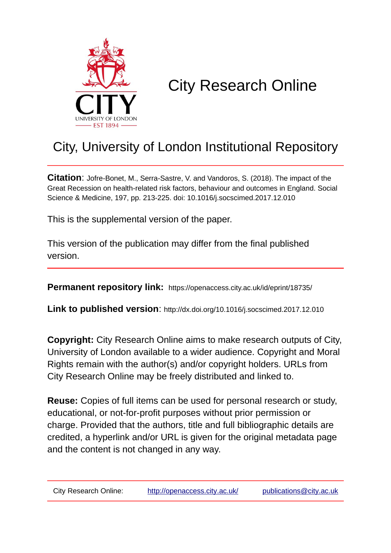

# City Research Online

## City, University of London Institutional Repository

**Citation**: Jofre-Bonet, M., Serra-Sastre, V. and Vandoros, S. (2018). The impact of the Great Recession on health-related risk factors, behaviour and outcomes in England. Social Science & Medicine, 197, pp. 213-225. doi: 10.1016/j.socscimed.2017.12.010

This is the supplemental version of the paper.

This version of the publication may differ from the final published version.

**Permanent repository link:** https://openaccess.city.ac.uk/id/eprint/18735/

**Link to published version**: http://dx.doi.org/10.1016/j.socscimed.2017.12.010

**Copyright:** City Research Online aims to make research outputs of City, University of London available to a wider audience. Copyright and Moral Rights remain with the author(s) and/or copyright holders. URLs from City Research Online may be freely distributed and linked to.

**Reuse:** Copies of full items can be used for personal research or study, educational, or not-for-profit purposes without prior permission or charge. Provided that the authors, title and full bibliographic details are credited, a hyperlink and/or URL is given for the original metadata page and the content is not changed in any way.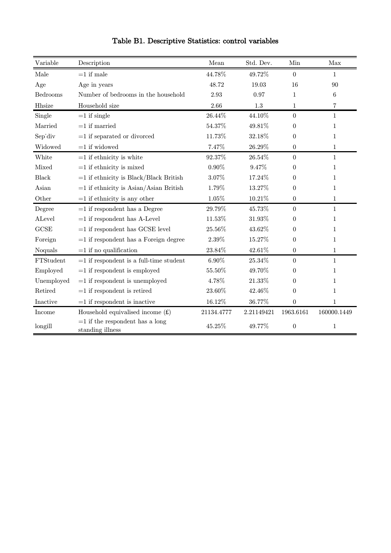| Variable   | Description                                           | Mean       | Std. Dev.  | Min              | Max          |
|------------|-------------------------------------------------------|------------|------------|------------------|--------------|
| Male       | $=1$ if male                                          | 44.78%     | 49.72%     | $\Omega$         | 1            |
| Age        | Age in years                                          | 48.72      | 19.03      | 16               | 90           |
| Bedrooms   | Number of bedrooms in the household                   | 2.93       | 0.97       | $\mathbf{1}$     | 6            |
| Hhsize     | Household size                                        | 2.66       | 1.3        | $\mathbf 1$      | 7            |
| Single     | $=1$ if single                                        | 26.44%     | 44.10%     | $\boldsymbol{0}$ | $\mathbf{1}$ |
| Married    | $=1$ if married                                       | 54.37%     | 49.81%     | $\theta$         | $\mathbf{1}$ |
| Sep'div    | $=1$ if separated or divorced                         | 11.73%     | 32.18%     | $\mathbf{0}$     | $\mathbf{1}$ |
| Widowed    | $=1$ if widowed                                       | 7.47%      | 26.29%     | $\mathbf{0}$     | $\mathbf{1}$ |
| White      | $=1$ if ethnicity is white                            | 92.37%     | 26.54%     | $\mathbf{0}$     | $\mathbf{1}$ |
| Mixed      | $=1$ if ethnicity is mixed                            | $0.90\%$   | 9.47%      | $\theta$         | $\mathbf{1}$ |
| Black      | $=1$ if ethnicity is Black/Black British              | 3.07%      | 17.24%     | $\Omega$         | $\mathbf{1}$ |
| Asian      | $=1$ if ethnicity is Asian/Asian British              | 1.79%      | 13.27%     | $\theta$         | $\mathbf{1}$ |
| Other      | $=1$ if ethnicity is any other                        | 1.05%      | 10.21%     | $\boldsymbol{0}$ | $\mathbf{1}$ |
| Degree     | $=1$ if respondent has a Degree                       | 29.79%     | 45.73%     | $\Omega$         | $\mathbf{1}$ |
| ALevel     | $=1$ if respondent has A-Level                        | 11.53%     | 31.93%     | $\theta$         | $\mathbf{1}$ |
| GCSE       | $=1$ if respondent has GCSE level                     | 25.56%     | 43.62%     | $\theta$         | 1            |
| Foreign    | $=1$ if respondent has a Foreign degree               | 2.39%      | 15.27%     | $\theta$         | 1            |
| Noquals    | $=1$ if no qualification                              | 23.84%     | 42.61%     | $\boldsymbol{0}$ | $\mathbf{1}$ |
| FTStudent  | $=1$ if respondent is a full-time student             | 6.90%      | 25.34%     | $\Omega$         | $\mathbf{1}$ |
| Employed   | $=1$ if respondent is employed                        | 55.50%     | 49.70%     | $\theta$         | $\mathbf{1}$ |
| Unemployed | $=1$ if respondent is unemployed                      | 4.78%      | 21.33%     | $\overline{0}$   | 1            |
| Retired    | $=1$ if respondent is retired                         | 23.60%     | 42.46%     | $\overline{0}$   | 1            |
| Inactive   | $=1$ if respondent is inactive                        | 16.12%     | 36.77%     | $\boldsymbol{0}$ | 1            |
| Income     | Household equivalised income $(E)$                    | 21134.4777 | 2.21149421 | 1963.6161        | 160000.1449  |
| longill    | $=1$ if the respondent has a long<br>standing illness | 45.25%     | 49.77%     | $\boldsymbol{0}$ | 1            |

Table B1. Descriptive Statistics: control variables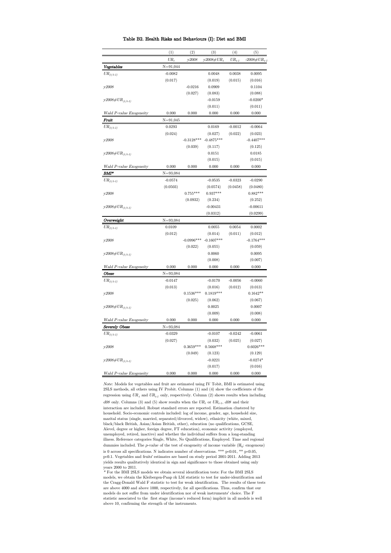|  |  |  |  | Table B2. Health Risks and Behaviours (I): Diet and BMI |  |  |  |  |
|--|--|--|--|---------------------------------------------------------|--|--|--|--|
|--|--|--|--|---------------------------------------------------------|--|--|--|--|

|                                                | (1)          | (2)          | (3)          | (4)                        | (5)             |
|------------------------------------------------|--------------|--------------|--------------|----------------------------|-----------------|
|                                                | $UR_t$       | y2008        | y2008#UR,    | $\mathit{UR}_{t\text{-}1}$ | $r2008 \# UR_t$ |
| Vegetables                                     | $N = 91,044$ |              |              |                            |                 |
| ${\ensuremath{U\!R}}_{(t/t\text{-}1)}$         | $-0.0082$    |              | 0.0048       | 0.0038                     | 0.0095          |
|                                                | (0.017)      |              | (0.019)      | (0.015)                    | (0.016)         |
| v2008                                          |              | $-0.0216$    | 0.0909       |                            | 0.1104          |
|                                                |              | (0.027)      | (0.083)      |                            | (0.088)         |
| $y2008 \# UR_{(t/t-1)}$                        |              |              | $-0.0159$    |                            | $-0.0200*$      |
|                                                |              |              | (0.011)      |                            | (0.011)         |
| Wald P-value Exogeneity                        | 0.000        | 0.000        | 0.000        | 0.000                      | 0.000           |
| Fruit                                          | $N = 91,045$ |              |              |                            |                 |
| $UR_{\left(t/t\text{-}1\right)}$               | 0.0293       |              | 0.0169       | $-0.0012$                  | $-0.0064$       |
|                                                | (0.024)      |              | (0.027)      | (0.022)                    | (0.023)         |
| y2008                                          |              | $-0.3128***$ | $-0.4875***$ |                            | $-0.4407***$    |
|                                                |              | (0.039)      | (0.117)      |                            | (0.125)         |
| $\mathit{y2008}\#\textit{UR}_{(t/t\text{-}1)}$ |              |              | 0.0151       |                            | 0.0185          |
|                                                |              |              | (0.015)      |                            | (0.015)         |
| Wald P-value Exogeneity                        | 0.000        | 0.000        | 0.000        | 0.000                      | 0.000           |
| BMI*                                           | $N = 93,084$ |              |              |                            |                 |
| $UR_{(t/t-1)}$                                 | $-0.0574$    |              | $-0.0535$    | $-0.0323$                  | $-0.0290$       |
|                                                | (0.0503)     |              | (0.0574)     | (0.0458)                   | (0.0480)        |
| y2008                                          |              | $0.755***$   | $0.937***$   |                            | $0.882***$      |
|                                                |              | (0.0932)     | (0.234)      |                            | (0.252)         |
| $\mathit{y2008}\#\textit{UR}_{(t/t\text{-}1)}$ |              |              | $-0.00431$   |                            | $-0.00611$      |
|                                                |              |              | (0.0312)     |                            | (0.0299)        |
| Overweight                                     | $N = 93,084$ |              |              |                            |                 |
| $\mathit{UR}_{(t/t\text{-}1)}$                 | 0.0109       |              | 0.0055       | 0.0054                     | 0.0002          |
|                                                | (0.012)      |              | (0.014)      | (0.011)                    | (0.012)         |
| v2008                                          |              | $-0.0996***$ | $-0.1607***$ |                            | $-0.1764***$    |
|                                                |              | (0.022)      | (0.055)      |                            | (0.059)         |
| $y2008\#UR_{(t/t-1)}$                          |              |              | 0.0060       |                            | 0.0095          |
|                                                |              |              | (0.008)      |                            | (0.007)         |
| Wald P-value Exogeneity                        | 0.000        | 0.000        | 0.000        | 0.000                      | 0.000           |
| Obese                                          | $N = 93,084$ |              |              |                            |                 |
| $UR_{\left(t/t\text{-}1\right)}$               | $-0.0147$    |              | $-0.0170$    | $-0.0056$                  | $-0.0060$       |
|                                                | (0.013)      |              | (0.016)      | (0.012)                    | (0.013)         |
| y2008                                          |              | $0.1536***$  | $0.1819***$  |                            | $0.1642**$      |
|                                                |              | (0.025)      | (0.062)      |                            | (0.067)         |
| $\mathit{y2008}\#\textit{UR}_{(t/t\text{-}1)}$ |              |              | 0.0025       |                            | 0.0007          |
|                                                |              |              | (0.009)      |                            | (0.008)         |
| Wald P-value Exogeneity                        | 0.000        | 0.000        | 0.000        | 0.000                      | 0.000           |
| Severely Obese                                 | $N = 93,084$ |              |              |                            |                 |
| ${\ensuremath{U\!R}}_{(t/t\text{-}1)}$         | $-0.0329$    |              | $-0.0107$    | $-0.0242$                  | $-0.0061$       |
|                                                | (0.027)      |              | (0.032)      | (0.025)                    | (0.027)         |
| y2008                                          |              | $0.3659***$  | $0.5668***$  |                            | $0.6026***$     |
|                                                |              | (0.049)      | (0.123)      |                            | (0.129)         |
| $y2008\#UR_{(t/t-1)}$                          |              |              | $-0.0221$    |                            | $-0.0274*$      |
|                                                |              |              | (0.017)      |                            | (0.016)         |
| Wald P-value Exogeneity                        | 0.000        | 0.000        | 0.000        | 0.000                      | 0.000           |
|                                                |              |              |              |                            |                 |

Note: Models for vegetables and fruit are estimated using IV Tobit, BMI is estimated using 2SLS methods, all others using IV Probit. Columns (1) and (4) show the coefficients of the regression using  ${\cal UR}_t$  and  ${\cal UR}_{t\text{-}1}$  only, respectively. Column (2) shows results when including  $d08$  only. Columns (3) and (5) show results when the  $UR_t$  or  $UR_{t-1}$ ,  $d08$  and their interaction are included. Robust standard errors are reported. Estimation clustered by

household. Socio-economic controls included: log of income, gender, age, household size, marital status (single, married, separated/divorced, widow), ethnicity (white, mixed, black/black British, Asian/Asian British, other), education (no qualifications, GCSE, Alevel, degree or higher, foreign degree, FT education), economic activity (employed, unemployed, retired, inactive) and whether the individual suffers from a long-standing illness. Reference categories Single, White, No Qualifications, Employed. Time and regional dummies included. The  $p$ -value of the test of exogeneity of income variable  $(H_0:$  exogenous) is 0 across all specifications. N indicates number of observations. \*\*\* p<0.01, \*\* p<0.05, p<0.1. Vegetables and fruits' estimates are based on study period 2001-2011. Adding 2013 yields results qualitatively identical in sign and significance to those obtained using only

years 2000 to 2011. \* For the BMI 2SLS models we obtain several identification tests: For the BMI 2SLS models, we obtain the Kleibergen-Paap rk LM statistic to test for under-identification and the Cragg-Donald Wald F statistic to test for weak identification. The results of these tests are above 4000 and above 1000, respectively, for all specifications. Thus, confirm that our models do not suffer from under identification nor of weak instruments' choice. The F statistic associated to the first stage (income's reduced form) implicit in all models is well above 10, confirming the strength of the instruments.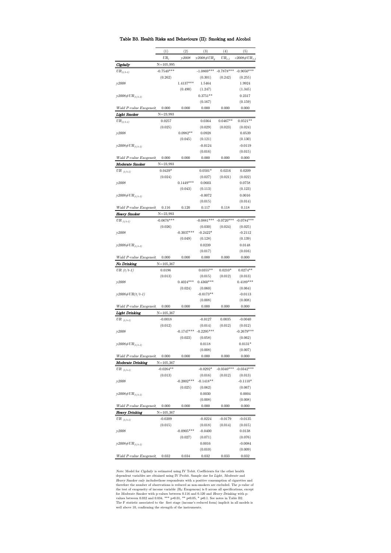### Table B3. Health Risks and Behaviours (II): Smoking and Alcohol

|                                        | (1)            | (2)          | (3)                    | (4)                        | (5)                  |
|----------------------------------------|----------------|--------------|------------------------|----------------------------|----------------------|
|                                        | $UR_t$         | y2008        | $y2008 \# UR_{\sigma}$ | $\mathit{UR}_{t\text{-}1}$ | 7 $2008 \# UR_{t-1}$ |
| Cigdaily                               | $N = 105,995$  |              |                        |                            |                      |
| ${\ensuremath{U\!R}}_{(t/t\text{-}1)}$ | $-0.7540***$   |              | $-1.0869***$           | $-0.7878***$               | $-0.9050***$         |
|                                        | (0.262)        |              | (0.301)                | (0.242)                    | (0.255)              |
| y2008                                  |                | $1.4137***$  | 1.5464                 |                            | 1.9924               |
|                                        |                | (0.490)      | (1.247)                |                            | (1.345)              |
|                                        |                |              |                        |                            |                      |
| $y2008 \# UR_{(t/t-1)}$                |                |              | $0.3751**$             |                            | 0.2317               |
|                                        |                |              | (0.167)                |                            | (0.159)              |
| Wald P-value Exogeneit                 | 0.000          | 0.000        | 0.000                  | 0.000                      | 0.000                |
| Light Smoker                           | $N = 23,993$   |              |                        |                            |                      |
| $\mathit{UR}_{(t/t\text{-}1)}$         | 0.0257         |              | 0.0364                 | $0.0467**$                 | $0.0521**$           |
|                                        | (0.025)        |              | (0.029)                | (0.023)                    | (0.024)              |
| v2008                                  |                | $0.0982**$   | 0.0928                 |                            | 0.0539               |
|                                        |                | (0.045)      | (0.121)                |                            | (0.130)              |
| $y2008 \# UR_{(t/t-1)}$                |                |              | $-0.0124$              |                            | $-0.0119$            |
|                                        |                |              | (0.016)                |                            | (0.015)              |
| Wald P-value Exogeneit                 | 0.000          | 0.000        | 0.000                  | 0.000                      | 0.000                |
| Moderate Smoker                        | N=23,993       |              |                        |                            |                      |
|                                        | $0.0439*$      |              | $0.0501*$              | 0.0216                     | 0.0209               |
| $\mathit{UR}_{(t/t-1)}$                |                |              |                        |                            |                      |
|                                        | (0.024)        | $0.1449***$  | (0.027)<br>0.0603      | (0.021)                    | (0.022)              |
| y2008                                  |                |              |                        |                            | 0.0758               |
|                                        |                | (0.043)      | (0.113)                |                            | (0.123)              |
| $y2008\#UR_{(t/t-1)}$                  |                |              | $-0.0072$              |                            | 0.0016               |
|                                        |                |              | (0.015)                |                            | (0.014)              |
| Wald P-value Exogeneit                 | 0.116          | 0.120        | 0.117                  | 0.118                      | 0.118                |
| Heavy Smoker                           | $N = 23.993$   |              |                        |                            |                      |
| $\mathit{UR}_{(t/t-1)}$                | $-0.0676***$   |              | $-0.0881***$           | $-0.0720***$               | $-0.0784***$         |
|                                        | (0.026)        |              | (0.030)                | (0.024)                    | (0.025)              |
| y2008                                  |                | $-0.3037***$ | $-0.2422*$             |                            | $-0.2112$            |
|                                        |                | (0.049)      | (0.128)                |                            | (0.139)              |
| $y2008 \# UR_{(t/t-1)}$                |                |              | 0.0239                 |                            | 0.0148               |
|                                        |                |              | (0.017)                |                            | (0.016)              |
| Wald P-value Exogeneit                 | 0.000          | 0.000        | 0.000                  | 0.000                      | 0.000                |
| <b>No Drinking</b>                     | $N = 105,367$  |              |                        |                            |                      |
|                                        |                |              |                        |                            |                      |
|                                        |                |              |                        |                            |                      |
| UR $(t/t-1)$                           | 0.0196         |              | $0.0355**$             | $0.0210*$                  | $0.0274**$           |
|                                        | (0.013)        |              | (0.015)                | (0.012)                    | (0.013)              |
| y2008                                  |                | $0.4024***$  | $0.4360***$            |                            | $0.4189***$          |
|                                        |                | (0.024)      | (0.060)                |                            | (0.064)              |
| y2008#UR(t/t-1)                        |                |              | $-0.0173**$            |                            | $-0.0113$            |
|                                        |                |              | (0.008)                |                            | (0.008)              |
| Wald P-value Exogeneit                 | 0.000          | 0.000        | 0.000                  | 0.000                      | 0.000                |
| Light Drinking                         | N=105,367      |              |                        |                            |                      |
| $\mathit{UR}_{(t/t-1)}$                | $-0.0018$      |              | $-0.0127$              | 0.0035                     | $-0.0040$            |
|                                        | (0.012)        |              | (0.014)                | (0.012)                    | (0.012)              |
| y2008                                  |                | $-0.1747***$ | $-0.2295***$           |                            | $-0.2679***$         |
|                                        |                | (0.023)      | (0.058)                |                            | (0.062)              |
| $y2008 \# UR_{(t/t-1)}$                |                |              | 0.0118                 |                            | $0.0131*$            |
|                                        |                |              | (0.008)                |                            | (0.007)              |
| Wald P-value Exogeneit                 | 0.000          | 0.000        | 0.000                  | 0.000                      | 0.000                |
| <b>Moderate Drinking</b>               | $N = 105, 367$ |              |                        |                            |                      |
| UR $_{(t/t-1)}$                        | $-0.0264**$    |              | $-0.0292*$             | $-0.0340***$               | $-0.0342***$         |
|                                        | (0.013)        |              | (0.016)                | (0.012)                    | (0.013)              |
| v2008                                  |                | $-0.2002***$ | $-0.1418**$            |                            | $-0.1110*$           |
|                                        |                | (0.025)      | (0.062)                |                            | (0.067)              |
|                                        |                |              | 0.0030                 |                            | 0.0004               |
| $y2008 \# UR_{(t/t-1)}$                |                |              | (0.008)                |                            | (0.008)              |
| Wald P-value Exogeneit                 | 0.000          |              |                        |                            |                      |
|                                        |                | 0.000        | 0.000                  | 0.000                      | 0.000                |
| Heavy Drinking                         | $N = 105,367$  |              |                        |                            |                      |
| $\mathit{UR}_{(t/t-1)}$                | $-0.0209$      |              | $-0.0224$              | $-0.0179$                  | $-0.0135$            |
|                                        | (0.015)        |              | (0.018)                | (0.014)                    | (0.015)              |
| y2008                                  |                | $-0.0905***$ | $-0.0400$              |                            | 0.0138               |
|                                        |                | (0.027)      | (0.071)                |                            | (0.076)              |
| $y2008 \# UR_{(t/t-1)}$                |                |              | 0.0016                 |                            | $-0.0084$            |
| Wald P-value Exogeneit                 | 0.032          | 0.034        | (0.010)<br>0.032       | 0.033                      | (0.009)<br>0.032     |

*Note:* Model for *Cigdaily* is estimated using IV Tobit. Coefficients for the other health dependent variables are obtained using IV Probit. Sample size for *Light*, *Moderate* and *Heavy Smoker only includes*<br>those resp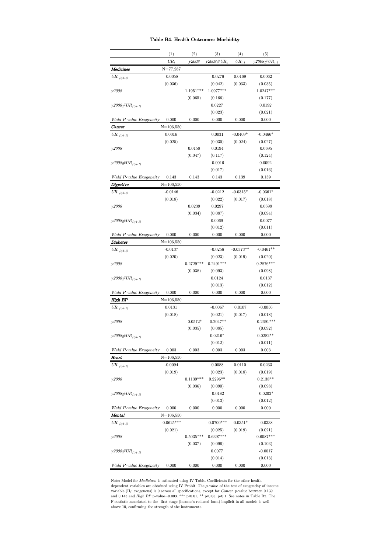## Table B4. Health Outcomes: Morbidity

|                                        | (1)           | (2)         | (3)                   | (4)         | (5)                   |
|----------------------------------------|---------------|-------------|-----------------------|-------------|-----------------------|
|                                        | $UR_t$        | y2008       | y2008#U $R_{\varrho}$ | $UR_{t-1}$  | $y2008 \# UR_{t-1}$   |
| Medicines                              | $N = 77,287$  |             |                       |             |                       |
| $\ _{UR_{-(t/t-1)}}$                   | $-0.0058$     |             | $-0.0276$             | 0.0169      | 0.0062                |
|                                        | (0.036)       |             | (0.042)               | (0.033)     | (0.035)               |
| y2008                                  |               | $1.1951***$ | 1.0977***             |             | 1.0247***             |
|                                        |               | (0.065)     | (0.166)               |             | (0.177)               |
| $y2008 \# UR_{(t/t-1)}$                |               |             | 0.0227                |             | 0.0192                |
|                                        |               |             | (0.023)               |             | (0.021)               |
| Wald P-value Exogeneity                | 0.000         | 0.000       | 0.000                 | 0.000       | 0.000                 |
| $_{Cancer}$                            | $N = 106,550$ |             |                       |             |                       |
| UR $_{(t/t-1)}$                        | 0.0016        |             | 0.0031                | $-0.0409*$  | $-0.0466*$            |
|                                        | (0.025)       |             | (0.030)               | (0.024)     | (0.027)               |
| y2008                                  |               | 0.0158      | 0.0194                |             | 0.0695                |
|                                        |               | (0.047)     | (0.117)               |             | (0.124)               |
| $y2008 \# UR_{(t/t-1)}$                |               |             | $-0.0016$             |             | 0.0092                |
|                                        |               |             | (0.017)               |             | (0.016)               |
| Wald P-value Exogeneity                | 0.143         | 0.143       | 0.143                 | 0.139       | 0.139                 |
| Digestive                              | $N = 106,550$ |             |                       |             |                       |
| ${\ensuremath{U\!R}}_{(t/t\text{-}1)}$ | $-0.0146$     |             | $-0.0212$             | $-0.0315*$  | $-0.0361*$            |
|                                        | (0.018)       |             | (0.022)               | (0.017)     | (0.018)               |
| y2008                                  |               | 0.0239      | 0.0297                |             | 0.0599                |
|                                        |               | (0.034)     | (0.087)               |             | (0.094)               |
| $y2008 \# UR_{(t/t-1)}$                |               |             | 0.0069                |             | 0.0077                |
|                                        |               |             | (0.012)               |             | (0.011)               |
| Wald P-value Exogeneity                | 0.000         | 0.000       | 0.000                 | 0.000       | 0.000                 |
| Diabetes                               | $N = 106,550$ |             |                       |             |                       |
| $UR_{(t/t-1)}$                         | $-0.0137$     |             | $-0.0256$             | $-0.0373**$ | $-0.0461**$           |
|                                        | (0.020)       |             | (0.023)               | (0.019)     | (0.020)               |
| y2008                                  |               | $0.2729***$ | $0.2491***$           |             | $0.2876***$           |
|                                        |               | (0.038)     | (0.093)               |             | (0.098)               |
| $y2008 \# UR_{(t/t-1)}$                |               |             | 0.0124                |             | 0.0137                |
|                                        |               |             | (0.013)               |             | (0.012)               |
| Wald P-value Exogeneity                | 0.000         | 0.000       | 0.000                 | 0.000       | 0.000                 |
| High BP                                | $N = 106,550$ |             |                       |             |                       |
| UR $_{(t/t-1)}$                        | 0.0131        |             | $-0.0067$             | 0.0107      | $-0.0056$             |
|                                        | (0.018)       |             | (0.021)               | (0.017)     | (0.018)               |
| y2008                                  |               | $-0.0572*$  | $-0.2047**$           |             | $-0.2691***$          |
|                                        |               | (0.035)     | (0.085)<br>$0.0216*$  |             | (0.092)<br>$0.0282**$ |
| $y2008\#UR_{(t/t-1)}$                  |               |             | (0.012)               |             | (0.011)               |
| Wald P-value Exogeneity                | 0.003         | 0.003       | 0.003                 | 0.003       | 0.003                 |
| Heart                                  | $N = 106,550$ |             |                       |             |                       |
| UR $_{(t/t-1)}$                        | $-0.0094$     |             | 0.0088                | 0.0110      | 0.0233                |
|                                        | (0.019)       |             | (0.023)               | (0.018)     | (0.019)               |
| y2008                                  |               | $0.1139***$ | $0.2296**$            |             | $0.2138**$            |
|                                        |               | (0.036)     | (0.090)               |             | (0.098)               |
| $y2008 \# UR_{(t/t-1)}$                |               |             | $-0.0182$             |             | $-0.0202*$            |
|                                        |               |             | (0.013)               |             | (0.012)               |
| Wald P-value Exogeneity                | 0.000         | 0.000       | 0.000                 | 0.000       | 0.000                 |
| Mental                                 | $N = 106,550$ |             |                       |             |                       |
| UR $_{(t/t-1)}$                        | $-0.0625***$  |             | $-0.0700***$          | $-0.0351*$  | $-0.0338$             |
|                                        | (0.021)       |             | (0.025)               | (0.019)     | (0.021)               |
| y2008                                  |               | $0.5035***$ | $0.6397***$           |             | $0.6087***$           |
|                                        |               | (0.037)     | (0.096)               |             | (0.103)               |
| $y2008 \# UR_{(t/t-1)}$                |               |             | 0.0077                |             | $-0.0017$             |
|                                        |               |             | (0.014)               |             | (0.013)               |
| Wald P-value Exogeneity                | 0.000         | 0.000       | 0.000                 | 0.000       | 0.000                 |

Note: Model for *Medicines* is estimated using IV Tobit. Coefficients for the other health dependent variables are obtained using IV Probit. The *p*-value of the test of exogeneity of income and  $0.139$  variable ( $H_0$ : e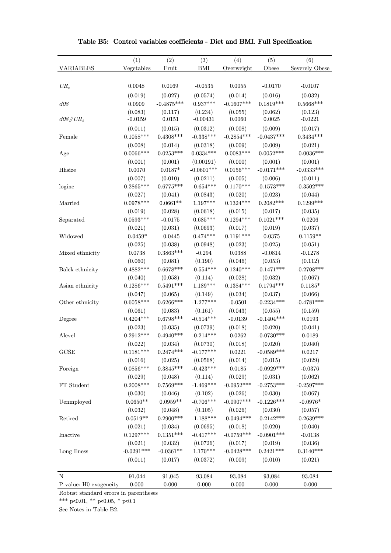|                        | (1)          | (2)          | (3)          | (4)          | (5)          | (6)            |
|------------------------|--------------|--------------|--------------|--------------|--------------|----------------|
| <b>VARIABLES</b>       | Vegetables   | Fruit        | BMI          | Overweight   | Obese        | Severely Obese |
|                        |              |              |              |              |              |                |
| $UR_t$                 | 0.0048       | 0.0169       | $-0.0535$    | 0.0055       | $-0.0170$    | $-0.0107$      |
|                        | (0.019)      | (0.027)      | (0.0574)     | (0.014)      | (0.016)      | (0.032)        |
| d08                    | 0.0909       | $-0.4875***$ | $0.937***$   | $-0.1607***$ | $0.1819***$  | $0.5668***$    |
|                        | (0.083)      | (0.117)      | (0.234)      | (0.055)      | (0.062)      | (0.123)        |
| $d08\#UR_t$            | $-0.0159$    | 0.0151       | $-0.00431$   | 0.0060       | 0.0025       | $-0.0221$      |
|                        | (0.011)      | (0.015)      | (0.0312)     | (0.008)      | (0.009)      | (0.017)        |
| Female                 | $0.1058***$  | $0.4308***$  | $-0.338***$  | $-0.2854***$ | $-0.0437***$ | $0.3434***$    |
|                        | (0.008)      | (0.014)      | (0.0318)     | (0.009)      | (0.009)      | (0.021)        |
| Age                    | $0.0066***$  | $0.0253***$  | $0.0334***$  | $0.0083***$  | $0.0052***$  | $-0.0036***$   |
|                        | (0.001)      | (0.001)      | (0.00191)    | (0.000)      | (0.001)      | (0.001)        |
| Hhsize                 | 0.0070       | $0.0187*$    | $-0.0601***$ | $0.0156***$  | $-0.0171***$ | $-0.0333***$   |
|                        | (0.007)      | (0.010)      | (0.0211)     | (0.005)      | (0.006)      | (0.011)        |
| loginc                 | $0.2865***$  | $0.6775***$  | $-0.654***$  | $0.1170***$  | $-0.1573***$ | $-0.3502***$   |
|                        | (0.027)      | (0.041)      | (0.0843)     | (0.020)      | (0.023)      | (0.044)        |
| Married                | $0.0978***$  | $0.0661**$   | $1.197***$   | $0.1324***$  | $0.2082***$  | $0.1299***$    |
|                        | (0.019)      | (0.028)      | (0.0618)     | (0.015)      | (0.017)      | (0.035)        |
| Separated              | $0.0593***$  | $-0.0175$    | $0.685***$   | $0.1294***$  | $0.1021***$  | 0.0206         |
|                        | (0.021)      | (0.031)      | (0.0693)     | (0.017)      | (0.019)      | (0.037)        |
| Widowed                | $-0.0459*$   | $-0.0445$    | $0.474***$   | $0.1191***$  | 0.0375       | $0.1159**$     |
|                        | (0.025)      | (0.038)      | (0.0948)     | (0.023)      | (0.025)      | (0.051)        |
| Mixed ethnicity        | 0.0738       | $0.3863***$  | $-0.294$     | 0.0388       | $-0.0814$    | $-0.1278$      |
|                        | (0.060)      | (0.081)      | (0.190)      | (0.046)      | (0.053)      | (0.112)        |
| Balck ethnicity        | $0.4882***$  | $0.6678***$  | $-0.554***$  | $0.1240***$  | $-0.1471***$ | $-0.2708***$   |
|                        | (0.040)      | (0.058)      | (0.114)      | (0.028)      | (0.032)      | (0.067)        |
| Asian ethnicity        | $0.1286***$  | $0.5491***$  | $1.189***$   | $0.1384***$  | $0.1794***$  | $0.1185*$      |
|                        | (0.047)      | (0.065)      | (0.149)      | (0.034)      | (0.037)      | (0.066)        |
| Other ethnicity        | $0.6058***$  | $0.6266***$  | $-1.277***$  | $-0.0501$    | $-0.2234***$ | $-0.4781***$   |
|                        | (0.061)      | (0.083)      | (0.161)      | (0.043)      | (0.055)      | (0.159)        |
| Degree                 | $0.4204***$  | $0.6798***$  | $-0.514***$  | $-0.0139$    | $-0.1404***$ | 0.0193         |
|                        | (0.023)      | (0.035)      | (0.0739)     | (0.018)      | (0.020)      | (0.041)        |
| Alevel                 | $0.2912***$  | $0.4940***$  | $-0.214***$  | 0.0262       | $-0.0730***$ | 0.0189         |
|                        | (0.022)      | (0.034)      | (0.0730)     | (0.018)      | (0.020)      | (0.040)        |
| GCSE                   | $0.1181***$  | $0.2474***$  | $-0.177***$  | 0.0221       | $-0.0589***$ | 0.0217         |
|                        | (0.016)      | (0.025)      | (0.0568)     | (0.014)      | (0.015)      | (0.029)        |
| Foreign                | $0.0856***$  | $0.3845***$  | $-0.423***$  | $\,0.0185\,$ | $-0.0929***$ | $-0.0376$      |
|                        | (0.029)      | (0.048)      | (0.114)      | (0.029)      | (0.031)      | (0.062)        |
| FT Student             | $0.2008***$  | $0.7569***$  | $-1.469***$  | $-0.0952***$ | $-0.2753***$ | $-0.2597***$   |
|                        | (0.030)      | (0.046)      | (0.102)      | (0.026)      | (0.030)      | (0.067)        |
| Uenmployed             | $0.0650**$   | $0.0959**$   | $-0.706***$  | $-0.0907***$ | $-0.1226***$ | $-0.0976*$     |
|                        | (0.032)      | (0.048)      | (0.105)      | (0.026)      | (0.030)      | (0.057)        |
| Retired                | $0.0519**$   | $0.2900***$  | $-1.188***$  | $-0.0494***$ | $-0.2142***$ | $-0.2639***$   |
|                        | (0.021)      | (0.034)      | (0.0695)     | (0.018)      | (0.020)      | (0.040)        |
| Inactive               | $0.1297***$  | $0.1351***$  | $-0.417***$  | $-0.0759***$ | $-0.0901***$ | $-0.0138$      |
|                        | (0.021)      | (0.032)      | (0.0726)     | (0.017)      | (0.019)      | (0.036)        |
| Long Ilness            | $-0.0291***$ | $-0.0361**$  | $1.170***$   | $-0.0428***$ | $0.2421***$  | $0.3140***$    |
|                        | (0.011)      | (0.017)      | (0.0372)     | (0.009)      | (0.010)      | (0.021)        |
|                        |              |              |              |              |              |                |
| N                      | 91,044       | 91,045       | 93,084       | 93,084       | 93,084       | 93,084         |
| P-value: H0 exogeneity | 0.000        | 0.000        | 0.000        | 0.000        | 0.000        | 0.000          |

Table B5: Control variables coefficients - Diet and BMI. Full Specification

Robust standard errors in parentheses

\*\*\* p<0.01, \*\* p<0.05, \* p<0.1

See Notes in Table B2.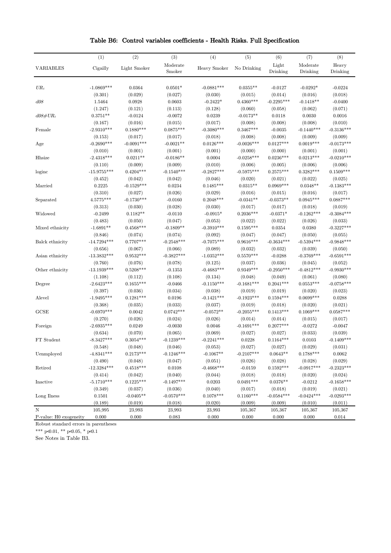|  |  |  |  |  |  |  | Table B6: Control variables coefficients - Health Risks. Full Specification |
|--|--|--|--|--|--|--|-----------------------------------------------------------------------------|
|--|--|--|--|--|--|--|-----------------------------------------------------------------------------|

|                        | (1)           | (2)          | (3)          | (4)          | (5)          | (6)          | (7)          | (8)          |
|------------------------|---------------|--------------|--------------|--------------|--------------|--------------|--------------|--------------|
| <b>VARIABLES</b>       | Cigailly      | Light Smoker | Moderate     | Heavy Smoker | No Drinking  | Light        | Moderate     | Heavy        |
|                        |               |              | Smoker       |              |              | Drinking     | Drinking     | Drinking     |
|                        |               |              |              |              |              |              |              |              |
| $UR_t$                 | $-1.0869***$  | 0.0364       | $0.0501*$    | $-0.0881***$ | $0.0355**$   | $-0.0127$    | $-0.0292*$   | $-0.0224$    |
|                        | (0.301)       | (0.029)      | (0.027)      | (0.030)      | (0.015)      | (0.014)      | (0.016)      | (0.018)      |
| d08                    | 1.5464        | 0.0928       | 0.0603       | $-0.2422*$   | $0.4360***$  | $-0.2295***$ | $-0.1418**$  | $-0.0400$    |
|                        | (1.247)       | (0.121)      | (0.113)      | (0.128)      | (0.060)      | (0.058)      | (0.062)      | (0.071)      |
| $d08\#UR_t$            | $0.3751**$    | $-0.0124$    | $-0.0072$    | 0.0239       | $-0.0173**$  | 0.0118       | 0.0030       | 0.0016       |
|                        | (0.167)       | (0.016)      | (0.015)      | (0.017)      | (0.008)      | (0.008)      | (0.008)      | (0.010)      |
| Female                 | $-2.9310***$  | $0.1880***$  | $0.0875***$  | $-0.3080***$ | $0.3467***$  | $-0.0035$    | $-0.1440***$ | $-0.3136***$ |
|                        | (0.153)       | (0.017)      | (0.017)      | (0.018)      | (0.008)      | (0.008)      | (0.009)      | (0.009)      |
| Age                    | $-0.2690***$  | $-0.0091***$ | $-0.0021**$  | $0.0126***$  | $-0.0026***$ | $0.0127***$  | $0.0019***$  | $-0.0173***$ |
|                        | (0.010)       | (0.001)      | (0.001)      | (0.001)      | (0.000)      | (0.000)      | (0.001)      | (0.001)      |
| Hhsize                 | $-2.4318***$  | $0.0211**$   | $-0.0186**$  | 0.0004       | $-0.0258***$ | $0.0236***$  | $0.0213***$  | $-0.0210***$ |
|                        | (0.110)       | (0.009)      | (0.009)      | (0.010)      | (0.006)      | (0.005)      | (0.006)      | (0.006)      |
| loginc                 | $-15.9755***$ | $0.4204***$  | $-0.1540***$ | $-0.2827***$ | $-0.5975***$ | $0.2575***$  | $0.3282***$  | $0.1509***$  |
|                        | (0.452)       | (0.042)      | (0.042)      | (0.046)      | (0.020)      | (0.021)      | (0.022)      | (0.025)      |
| Married                | 0.2225        | $-0.1529***$ | 0.0234       | $0.1485***$  | $0.0315**$   | $0.0969***$  | $0.0348**$   | $-0.1383***$ |
|                        | (0.310)       | (0.027)      | (0.026)      | (0.029)      | (0.016)      | (0.015)      | (0.016)      | (0.017)      |
| Separated              | 4.5775***     | $-0.1730***$ | $-0.0160$    | $0.2048***$  | $-0.0341**$  | $-0.0373**$  | $0.0945***$  | $0.0887***$  |
|                        | (0.313)       | (0.030)      | (0.028)      | (0.030)      | (0.017)      | (0.017)      | (0.018)      | (0.019)      |
| Widowed                | $-0.2499$     | $0.1182**$   | $-0.0110$    | $-0.0915*$   | $0.2036***$  | $-0.0371*$   | $-0.1262***$ | $-0.3084***$ |
|                        | (0.483)       | (0.050)      | (0.047)      | (0.053)      | (0.022)      | (0.022)      | (0.026)      | (0.033)      |
|                        | $-1.6891**$   | $0.4568***$  | $-0.1809**$  | $-0.3910***$ | $0.1595***$  | 0.0354       | 0.0380       | $-0.3227***$ |
| Mixed ethnicity        |               |              |              |              |              |              | (0.050)      |              |
|                        | (0.846)       | (0.074)      | (0.074)      | (0.092)      | (0.047)      | (0.047)      |              | (0.055)      |
| Balck ethnicity        | $-14.7294***$ | $0.7707***$  | $-0.2548***$ | $-0.7075***$ | $0.9616***$  | $-0.3634***$ | $-0.5394***$ | $-0.9848***$ |
|                        | (0.656)       | (0.067)      | (0.066)      | (0.089)      | (0.032)      | (0.032)      | (0.039)      | (0.050)      |
| Asian ethnicity        | $-13.3832***$ | $0.9532***$  | $-0.3827***$ | $-1.0352***$ | $0.5570***$  | $-0.0288$    | $-0.3769***$ | $-0.6591***$ |
|                        | (0.760)       | (0.076)      | (0.078)      | (0.125)      | (0.037)      | (0.036)      | (0.045)      | (0.052)      |
| Other ethnicity        | $-13.1939***$ | $0.5208***$  | $-0.1353$    | $-0.4683***$ | $0.9349***$  | $-0.2950***$ | $-0.4812***$ | $-0.9930***$ |
|                        | (1.108)       | (0.112)      | (0.108)      | (0.134)      | (0.048)      | (0.049)      | (0.061)      | (0.080)      |
| Degree                 | $-2.6423***$  | $0.1655***$  | $-0.0466$    | $-0.1150***$ | $-0.1681***$ | $0.2041***$  | $0.0553***$  | $-0.0758***$ |
|                        | (0.397)       | (0.036)      | (0.034)      | (0.038)      | (0.019)      | (0.019)      | (0.020)      | (0.023)      |
| Alevel                 | $-1.9495***$  | $0.1281***$  | 0.0196       | $-0.1421***$ | $-0.1923***$ | $0.1594***$  | $0.0699***$  | 0.0288       |
|                        | (0.368)       | (0.035)      | (0.033)      | (0.037)      | (0.019)      | (0.018)      | (0.020)      | (0.021)      |
| GCSE                   | $-0.6970***$  | 0.0042       | $0.0742***$  | $-0.0572**$  | $-0.2055***$ | $0.1413***$  | $0.1069***$  | $0.0587***$  |
|                        | (0.270)       | (0.026)      | (0.024)      | (0.026)      | (0.014)      | (0.014)      | (0.015)      | (0.017)      |
| Foreign                | $-2.6935***$  | 0.0249       | $-0.0030$    | 0.0046       | $-0.1691***$ | $0.2077***$  | $-0.0272$    | $-0.0047$    |
|                        | (0.634)       | (0.070)      | (0.065)      | (0.069)      | (0.027)      | (0.027)      | (0.033)      | (0.039)      |
| FT Student             | $-8.3427***$  | $0.3054***$  | $-0.1239***$ | $-0.2241***$ | 0.0228       | $0.1164***$  | 0.0103       | $-0.1409***$ |
|                        | (0.548)       | (0.048)      | (0.046)      | (0.053)      | (0.027)      | (0.027)      | (0.029)      | (0.031)      |
| Uenmployed             | $-4.8341***$  | $0.2173***$  | $-0.1246***$ | $-0.1067**$  | $-0.2107***$ | $0.0643**$   | $0.1788***$  | 0.0062       |
|                        | (0.490)       | (0.048)      | (0.047)      | (0.051)      | (0.026)      | (0.028)      | (0.028)      | (0.029)      |
| Retired                | $-12.3284***$ | $0.4518***$  | 0.0108       | $-0.4668***$ | $-0.0159$    | $0.1592***$  | $-0.0917***$ | $-0.2323***$ |
|                        | (0.414)       | (0.042)      | (0.040)      | (0.044)      | (0.018)      | (0.018)      | (0.020)      | (0.024)      |
| Inactive               | $-5.1710***$  | $0.1225***$  | $-0.1497***$ | 0.0203       | $0.0491***$  | $0.0376**$   | $-0.0212$    | $-0.1658***$ |
|                        | (0.349)       | (0.037)      | (0.036)      | (0.040)      | (0.017)      | (0.018)      | (0.019)      | (0.021)      |
| Long Ilness            | 0.1501        | $-0.0405**$  | $-0.0570***$ | $0.1078***$  | $0.1160***$  | $-0.0584***$ | $-0.0424***$ | $-0.0293***$ |
|                        | (0.189)       | (0.019)      | (0.018)      | (0.020)      | (0.009)      | (0.009)      | (0.010)      | (0.011)      |
| N                      | 105,995       | 23,993       | 23,993       | 23,993       | 105,367      | 105,367      | 105,367      | 105,367      |
| P-value: H0 exogeneity | 0.000         | 0.000        | 0.083        | 0.000        | 0.000        | 0.000        | 0.000        | 0.014        |

Robust standard errors in parentheses

\*\*\* p<0.01, \*\* p<0.05, \* p<0.1

See Notes in Table B3.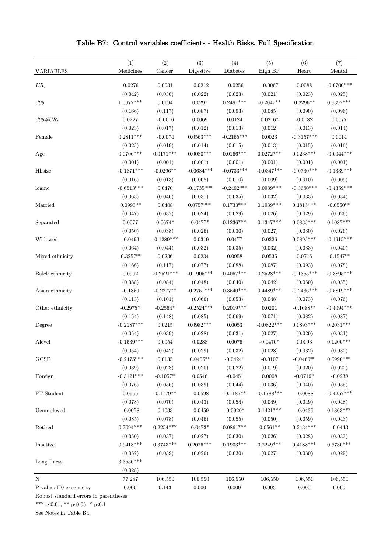| <b>VARIABLES</b>       | (1)<br>Medicines | (2)<br>Cancer | (3)<br>Digestive | (4)<br>Diabetes | (5)<br>High BP  | (6)<br>Heart | (7)<br>Mental |
|------------------------|------------------|---------------|------------------|-----------------|-----------------|--------------|---------------|
|                        |                  |               |                  |                 |                 |              |               |
| $UR_t$                 | $-0.0276$        | 0.0031        | $-0.0212$        | $-0.0256$       | $-0.0067$       | 0.0088       | $-0.0700***$  |
|                        | (0.042)          | (0.030)       | (0.022)          | (0.023)         | (0.021)         | (0.023)      | (0.025)       |
| $d08\,$                | $1.0977***$      | 0.0194        | 0.0297           | $0.2491***$     | $-0.2047**$     | $0.2296**$   | $0.6397***$   |
|                        | (0.166)          | (0.117)       | (0.087)          | (0.093)         | (0.085)         | (0.090)      | (0.096)       |
| $d08\#UR_t$            | 0.0227           | $-0.0016$     | 0.0069           | 0.0124          | $0.0216^{\ast}$ | $-0.0182$    | 0.0077        |
|                        | (0.023)          | (0.017)       | (0.012)          | (0.013)         | (0.012)         | (0.013)      | (0.014)       |
| Female                 | $0.2811***$      | $-0.0074$     | $0.0563***$      | $-0.2165***$    | 0.0023          | $-0.3157***$ | 0.0014        |
|                        | (0.025)          | (0.019)       | (0.014)          | (0.015)         | (0.013)         | (0.015)      | (0.016)       |
| Age                    | $0.0706***$      | $0.0171***$   | $0.0080***$      | $0.0166***$     | $0.0272***$     | $0.0238***$  | $-0.0044***$  |
|                        | (0.001)          | (0.001)       | (0.001)          | (0.001)         | (0.001)         | (0.001)      | (0.001)       |
| Hhsize                 | $-0.1871***$     | $-0.0296**$   | $-0.0684***$     | $-0.0733***$    | $-0.0347***$    | $-0.0730***$ | $-0.1339***$  |
|                        | (0.016)          | (0.013)       | (0.008)          | (0.010)         | (0.009)         | (0.010)      | (0.009)       |
| loginc                 | $-0.6513***$     | 0.0470        | $-0.1735***$     | $-0.2492***$    | $0.0939***$     | $-0.3680***$ | $-0.4359***$  |
|                        | (0.063)          | (0.046)       | (0.031)          | (0.035)         | (0.032)         | (0.033)      | (0.034)       |
| Married                | $0.0993**$       | 0.0408        | $0.0757***$      | $0.1733***$     | $0.1939***$     | $0.1815***$  | $-0.0550**$   |
|                        | (0.047)          | (0.037)       | (0.024)          | (0.029)         | (0.026)         | (0.029)      | (0.026)       |
| Separated              | 0.0077           | $0.0674*$     | $0.0477*$        | $0.1236***$     | $0.1347***$     | $0.0835***$  | $0.1087***$   |
|                        | (0.050)          | (0.038)       | (0.026)          | (0.030)         | (0.027)         | (0.030)      | (0.026)       |
| Widowed                | $-0.0493$        | $-0.1289***$  | $-0.0310$        | 0.0477          | 0.0326          | $0.0895***$  | $-0.1915***$  |
|                        | (0.064)          | (0.044)       | (0.032)          | (0.035)         | (0.032)         | (0.033)      | (0.040)       |
| Mixed ethnicity        | $-0.3257**$      | 0.0236        | $-0.0234$        | 0.0958          | $\,0.0535\,$    | $0.0716\,$   | $-0.1547**$   |
|                        | (0.166)          | (0.117)       | (0.077)          | (0.088)         | (0.087)         | (0.093)      | (0.078)       |
| Balck ethnicity        | 0.0992           | $-0.2521***$  | $-0.1905***$     | $0.4067***$     | $0.2528***$     | $-0.1355***$ | $-0.3895***$  |
|                        | (0.088)          | (0.084)       | (0.048)          | (0.040)         | (0.042)         | (0.050)      | (0.055)       |
| Asian ethnicity        | $-0.1859$        | $-0.2277**$   | $-0.2751***$     | $0.3540***$     | $0.4489***$     | $-0.2436***$ | $-0.5819***$  |
|                        | (0.113)          | (0.101)       | (0.066)          | (0.053)         | (0.048)         | (0.073)      | (0.076)       |
| Other ethnicity        | $-0.2975*$       | $-0.2564*$    | $-0.2524***$     | $0.2019***$     | 0.0201          | $-0.1688**$  | $-0.4094***$  |
|                        | (0.154)          | (0.148)       | (0.085)          | (0.069)         | (0.071)         | (0.082)      | (0.087)       |
| Degree                 | $-0.2187***$     | $\,0.0215\,$  | $0.0982***$      | 0.0053          | $-0.0822***$    | $0.0893***$  | $0.2031***$   |
|                        | (0.054)          | (0.039)       | (0.028)          | (0.031)         | (0.027)         | (0.029)      | (0.031)       |
| Alevel                 | $-0.1539***$     | 0.0054        | 0.0288           | 0.0076          | $-0.0470*$      | 0.0093       | $0.1200***$   |
|                        | (0.054)          | (0.042)       | (0.029)          | (0.032)         | (0.028)         | (0.032)      | (0.032)       |
| $_{\rm GCSE}$          | $-0.2475***$     | $\,0.0135\,$  | $0.0455**$       | $-0.0424*$      | $-0.0107$       | $-0.0460**$  | $0.0990***$   |
|                        | (0.039)          | (0.028)       | (0.020)          | (0.022)         | (0.019)         | (0.020)      | (0.022)       |
| Foreign                | $-0.3121***$     | $-0.1057*$    | 0.0546           | $-0.0451$       | 0.0008          | $-0.0719*$   | $-0.0238$     |
|                        | (0.076)          | (0.056)       | (0.039)          | (0.044)         | (0.036)         | (0.040)      | (0.055)       |
| FT Student             | 0.0955           | $-0.1779**$   | $-0.0598$        | $-0.1187**$     | $-0.1788***$    | $-0.0088$    | $-0.4257***$  |
|                        | (0.078)          | (0.070)       | (0.043)          | (0.054)         | (0.049)         | (0.049)      | (0.048)       |
| Uenmployed             | $-0.0078$        | 0.1033        | $-0.0459$        | $-0.0920*$      | $0.1421***$     | $-0.0436$    | $0.1863***$   |
|                        | (0.085)          | (0.078)       | (0.046)          | (0.055)         | (0.050)         | (0.059)      | (0.043)       |
| Retired                | $0.7094***$      | $0.2254***$   | $0.0473^{\ast}$  | $0.0861***$     | $0.0561**$      | $0.2434***$  | $-0.0443$     |
|                        | (0.050)          | (0.037)       | (0.027)          | (0.030)         | (0.026)         | (0.028)      | (0.033)       |
| Inactive               | $0.9418***$      | $0.3743***$   | $0.2026***$      | $0.1903***$     | $0.2249***$     | $0.4188***$  | $0.6730***$   |
|                        | (0.052)          | (0.039)       | (0.026)          | (0.030)         | (0.027)         | (0.030)      | (0.029)       |
| Long Ilness            | $3.3556***$      |               |                  |                 |                 |              |               |
|                        | (0.028)          |               |                  |                 |                 |              |               |
| $\mathbf N$            | 77,287           | 106,550       | 106,550          | 106,550         | 106,550         | 106,550      | 106,550       |
| P-value: H0 exogeneity | $0.000\,$        | $\rm 0.143$   | 0.000            | 0.000           | $\rm 0.003$     | 0.000        | 0.000         |

## Table B7: Control variables coefficients - Health Risks. Full Specification

Robust standard errors in parentheses

\*\*\* p<0.01, \*\* p<0.05, \* p<0.1

See Notes in Table B4.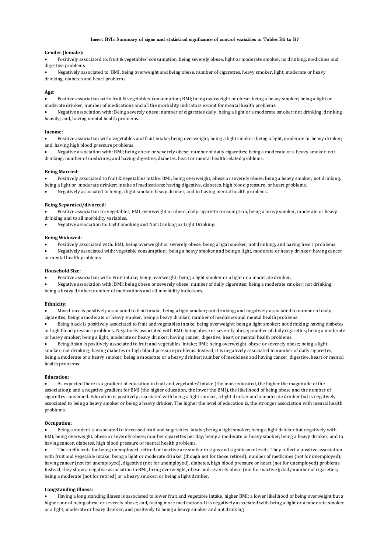### Insert B7b: Summary of signs and statistical signficance of control variables in Tables B5 to B7

#### Gender (female):

Positively associated to: fruit & vegetables' consumption, being severely obese, light or moderate smoker, no drinking, medicines and digestive problems

Negatively associated to: BMI, being overweight and being obese, number of cigarettes, heavy smoker, light, moderate or heavy drinking, diabetes and heart problems.

#### Age:

Positive association with: fruit & vegetables' consumption; BMI; being overweight or obese; being a heavy smoker; being a light or moderate drinker; number of medications and all the morbidity indicators except for mental health problems.

Negative association with: Being severely obese; number of cigarettes daily; being a light or a moderate smoker; not drinking; drinking heavily; and, having mental health problems.

#### **Income:**

Positive association with: vegetables and fruit intake; being overweight; being a light smoker; being a light, moderate or heavy drinker; and, having high blood pressure problems.

Negative association with: BMI; being obese or severely obese; number of daily cigarettes; being a moderate or a heavy smoker; not drinking; number of medicines; and having digestive, diabetes, heart or mental health related problems.

#### **Being Married:**

Positively associated to fruit & vegetables intake; BMI; being overweight, obese or severely obese; being a heavy smoker; not drinking;

being a light or moderate drinker; intake of medications; having digestive, diabetes, high blood pressure, or heart problems.

Negatively associated to being a light smoker, heavy drinker, and to having mental health problems.

#### **Being Separated/divorced:**

Positive association to: vegetables, BMI, overweight or obese, daily cigarette consumption, being a heavy smoker, moderate or heavy drinking and to all morbidity variables.

Negative association to: Light Smoking and Not Drinking or Light Drinking.

#### **Being Widowed:**

Positively associated with: BMI; being overweight or severely obese; being a light smoker; not drinking; and having heart problems.

Negatively associated with: vegetable consumption; being a heavy smoker and being a light, moderate or heavy drinker; having cancer or mental health problems

#### **Household Size:**

Positive association with: Fruit intake; being overweight; being a light smoker or a light or a moderate drinker.

Negative association with: BMI; being obese or severely obese; number of daily cigarettes; being a moderate smoker; not drinking; being a heavy drinker; number of medications and all morbidity indicators.

#### **Ethnicity:**

Mixed race is positively associated to fruit intake; being a light smoker; not drinking; and negatively associated to number of daily cigarettes; being a moderate or heavy smoker; being a heavy drinker; number of medicines and mental health problems.

Being black is positively associated to fruit and vegetables intake; being overweight; being a light smoker; not drinking; having diabetes or high blood pressure problems. Negatively associated with BMI; being obese or severely obese; number of daily cigarettes; being a moderate or heavy smoker; being a light, moderate or heavy drinker; having cancer, digestive, heart or mental health problems.

Being Asian is positively associated to fruit and vegetables' intake; BMI; being overweight, obese or severely obese; being a light smoker; not drinking; having diabetes or high blood pressure problems. Instead, it is negatively associated to number of daily cigarettes; being a moderate or a heavy smoker; being a moderate or a heavy drinker; number of medicines and having cancer, digestive, heart or mental health problems.

#### **Education:**

As expected there is a gradient of education in fruit and vegetables' intake (the more educated, the higher the magnitude of the association); and a negative gradient for BMI (the higher education, the lower the BMI), the likelihood of being obese and the number of cigarettes consumed. Education is positively associated with being a light smoker, a light drinker and a moderate drinker but is negatively associated to being a heavy smoker or being a heavy drinker. The higher the level of education is, the stronger association with mental health problems.

#### **Occupation:**

Being a student is associated to increased fruit and vegetables' intake; being a light smoker; being a light drinker but negatively with BMI, being overweight, obese or severely obese; number cigarettes per day; being a moderate or heavy smoker; being a heavy drinker; and to having cancer, diabetes, high blood pressure or mental health problems.

The coefficients for being unemployed, retired or inactive are similar in signs and significance levels. They reflect a positive association with fruit and vegetable intake; being a light or moderate drinker (though not for those retired); number of medicines (not for unemployed); having cancer (not for unemployed), digestive (not for unemployed), diabetes, high blood pressure or heart (not for unemployed) problems. Instead, they show a negative association to BMI, being overweight, obese and severely obese (not for inactive); daily number of cigarettes; being a moderate (not for retired) or a heavy smoker; or being a light drinker.

#### **Longstanding illness:**

Having a long standing illness is associated to lower fruit and vegetable intake, higher BMI; a lower likelihood of being overweight but a higher one of being obese or severely obese; and, taking more medications. It is negatively associated with being a light or a moderate smoker or a light, moderate or heavy drinker; and positively to being a heavy smoker and not drinking.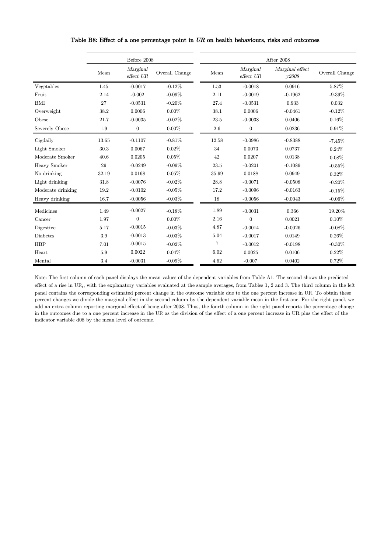|                   |       | Before 2008           |                |       |                       | After 2008               |                |  |
|-------------------|-------|-----------------------|----------------|-------|-----------------------|--------------------------|----------------|--|
|                   | Mean  | Marginal<br>effect UR | Overall Change | Mean  | Marginal<br>effect UR | Marginal effect<br>y2008 | Overall Change |  |
| Vegetables        | 1.45  | $-0.0017$             | $-0.12%$       | 1.53  | $-0.0018$             | 0.0916                   | 5.87%          |  |
| Fruit             | 2.14  | $-0.002$              | $-0.09%$       | 2.11  | $-0.0019$             | $-0.1962$                | $-9.39%$       |  |
| <b>BMI</b>        | 27    | $-0.0531$             | $-0.20%$       | 27.4  | $-0.0531$             | 0.933                    | 0.032          |  |
| Overweight        | 38.2  | 0.0006                | $0.00\%$       | 38.1  | 0.0006                | $-0.0461$                | $-0.12\%$      |  |
| Obese             | 21.7  | $-0.0035$             | $-0.02%$       | 23.5  | $-0.0038$             | 0.0406                   | $0.16\%$       |  |
| Severely Obese    | 1.9   | $\boldsymbol{0}$      | $0.00\%$       | 2.6   | $\boldsymbol{0}$      | 0.0236                   | 0.91%          |  |
| Cigdaily          | 13.65 | $-0.1107$             | $-0.81%$       | 12.58 | $-0.0986$             | $-0.8388$                | $-7.45%$       |  |
| Light Smoker      | 30.3  | 0.0067                | $0.02\%$       | 34    | 0.0073                | 0.0737                   | 0.24%          |  |
| Moderate Smoker   | 40.6  | 0.0205                | 0.05%          | 42    | 0.0207                | 0.0138                   | 0.08%          |  |
| Heavy Smoker      | 29    | $-0.0249$             | $-0.09%$       | 23.5  | $-0.0201$             | $-0.1089$                | $-0.55%$       |  |
| No drinking       | 32.19 | 0.0168                | 0.05%          | 35.99 | 0.0188                | 0.0949                   | 0.32%          |  |
| Light drinking    | 31.8  | $-0.0076$             | $-0.02%$       | 28.8  | $-0.0071$             | $-0.0508$                | $-0.20\%$      |  |
| Moderate drinking | 19.2  | $-0.0102$             | $-0.05%$       | 17.2  | $-0.0096$             | $-0.0163$                | $-0.15%$       |  |
| Heavy drinking    | 16.7  | $-0.0056$             | $-0.03%$       | 18    | $-0.0056$             | $-0.0043$                | $-0.06%$       |  |
| Medicines         | 1.49  | $-0.0027$             | $-0.18%$       | 1.89  | $-0.0031$             | 0.366                    | 19.20%         |  |
| Cancer            | 1.97  | $\boldsymbol{0}$      | $0.00\%$       | 2.16  | $\overline{0}$        | 0.0021                   | $0.10\%$       |  |
| Digestive         | 5.17  | $-0.0015$             | $-0.03%$       | 4.87  | $-0.0014$             | $-0.0026$                | $-0.08%$       |  |
| Diabetes          | 3.9   | $-0.0013$             | $-0.03%$       | 5.04  | $-0.0017$             | 0.0149                   | $0.26\%$       |  |
| <b>HBP</b>        | 7.01  | $-0.0015$             | $-0.02%$       | 7     | $-0.0012$             | $-0.0198$                | $-0.30\%$      |  |
| Heart             | 5.9   | 0.0022                | 0.04%          | 6.02  | 0.0025                | 0.0106                   | 0.22%          |  |
| Mental            | 3.4   | $-0.0031$             | $-0.09%$       | 4.62  | $-0.007$              | 0.0402                   | 0.72%          |  |

## Table B8: Effect of a one percentage point in UR on health behaviours, risks and outcomes

Note: The first column of each panel displays the mean values of the dependent variables from Table A1. The second shows the predicted effect of a rise in  $UR_t$ , with the explanatory variables evaluated at the sample averages, from Tables 1, 2 and 3. The third column in the left panel contains the corresponding estimated percent change in the outcome variable due to the one percent increase in UR. To obtain these percent changes we divide the marginal effect in the second column by the dependent variable mean in the first one. For the right panel, we add an extra column reporting marginal effect of being after 2008. Thus, the fourth column in the right panel reports the percentage change in the outcomes due to a one percent increase in the UR as the division of the effect of a one percent increase in UR plus the effect of the indicator variable d08 by the mean level of outcome.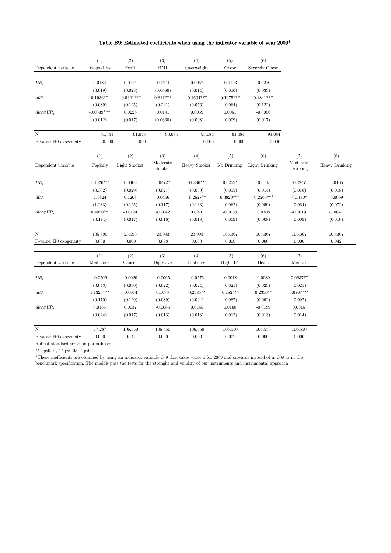## Table B9: Estimated coefficients when using the indicator variable of year 2009\*

|                         | (1)          | (2)          | (3)                | (4)          | (5)         | (6)            |                      |                |
|-------------------------|--------------|--------------|--------------------|--------------|-------------|----------------|----------------------|----------------|
| Dependent variable      | Vegetables   | Fruit        | <b>BMI</b>         | Overweight   | Obese       | Severely Obese |                      |                |
|                         |              |              |                    |              |             |                |                      |                |
| ${\ensuremath{U\!R}}_t$ | 0.0182       | 0.0115       | $-0.0741$          | 0.0057       | $-0.0193$   | $-0.0270$      |                      |                |
|                         | (0.019)      | (0.028)      | (0.0580)           | (0.014)      | (0.016)     | (0.033)        |                      |                |
| d09                     | $0.1936**$   | $-0.5321***$ | $0.811***$         | $-0.1604***$ | $0.1675***$ | $0.4841***$    |                      |                |
|                         | (0.089)      | (0.125)      | (0.241)            | (0.056)      | (0.064)     | (0.122)        |                      |                |
| $d09\#UR_t$             | $-0.0339***$ | 0.0228       | 0.0191             | 0.0059       | 0.0051      | $-0.0056$      |                      |                |
|                         | (0.012)      | (0.017)      | (0.0330)           | (0.008)      | (0.009)     | (0.017)        |                      |                |
| N                       | 91,044       | 91,045       | 93,084             | 93,084       | 93,084      | 93,084         |                      |                |
| P-value: H0 exogeneity  | 0.000        | 0.000        |                    | 0.000        | 0.000       | 0.000          |                      |                |
|                         | (1)          | (2)          | (3)                | (4)          | (5)         | (6)            | (7)                  | (8)            |
| Dependent variable      | Cigdaily     | Light Smoker | Moderate<br>Smoker | Heavy Smoker | No Drinking | Light Drinking | Moderate<br>Drinking | Heavy Drinking |
|                         |              |              |                    |              |             |                |                      |                |
| $UR_t$                  | $-1.1026***$ | 0.0402       | $0.0472*$          | $-0.0896***$ | $0.0259*$   | $-0.0115$      | $-0.0247$            | $-0.0165$      |
|                         | (0.302)      | (0.029)      | (0.027)            | (0.030)      | (0.015)     | (0.014)        | (0.016)              | (0.018)        |
| d09                     | 1.3824       | 0.1208       | 0.0456             | $-0.2628**$  | $0.3829***$ | $-0.2265***$   | $-0.1170*$           | $-0.0069$      |
|                         | (1.283)      | (0.125)      | (0.117)            | (0.133)      | (0.062)     | (0.059)        | (0.064)              | (0.072)        |
| $d09\#UR_t$             | $0.4020**$   | $-0.0174$    | $-0.0042$          | 0.0270       | $-0.0068$   | 0.0108         | $-0.0019$            | $-0.0047$      |
|                         | (0.174)      | (0.017)      | (0.016)            | (0.018)      | (0.009)     | (0.008)        | (0.009)              | (0.010)        |
| N                       | 105,995      | 23,993       | 23,993             | 23,993       | 105,367     | 105,367        | 105,367              | 105,367        |
| P-value: H0 exogeneity  | 0.000        | 0.000        | 0.098              | 0.000        | 0.000       | 0.000          | 0.000                | 0.042          |
|                         |              |              |                    |              |             |                |                      |                |
|                         | (1)          | (2)          | (3)                | (4)          | (5)         | (6)            | (7)                  |                |
| Dependent variable      | Medicines    | Cancer       | Digestive          | Diabetes     | High BP     | Heart          | Mental               |                |
| $UR_t$                  | $-0.0206$    | $-0.0020$    | $-0.0065$          | $-0.0276$    | $-0.0018$   | 0.0089         | $-0.0637**$          |                |
|                         | (0.043)      | (0.030)      | (0.022)            | (0.024)      | (0.021)     | (0.023)        | (0.025)              |                |
| d09                     | $1.1326***$  | $-0.0074$    | 0.1079             | $0.2385**$   | $-0.1825**$ | $0.2356**$     | $0.6707***$          |                |
|                         | (0.170)      | (0.120)      | (0.089)            | (0.094)      | (0.087)     | (0.092)        | (0.097)              |                |
| $d09\#UR_t$             | 0.0156       | 0.0037       | $-0.0085$          | 0.0145       | 0.0168      | $-0.0189$      | 0.0015               |                |
|                         | (0.024)      | (0.017)      | (0.013)            | (0.013)      | (0.012)     | (0.013)        | (0.014)              |                |
| N                       | 77,287       | 106,550      | 106,550            | 106,550      | 106,550     | 106,550        | 106,550              |                |
| P-value: H0 exogeneity  | 0.000        | 0.141        | 0.000              | 0.000        | 0.002       | 0.000          | 0.000                |                |

Robust standard errors in parentheses

\*\*\* p<0.01, \*\* p<0.05, \* p<0.1

\*These coefficients are obtained by using an indicator variable d09 that takes value 1 for 2009 and onwards instead of in d08 as in the benchmark specification. The models pass the tests for the strenght and validity of our instruments and instrumental approach.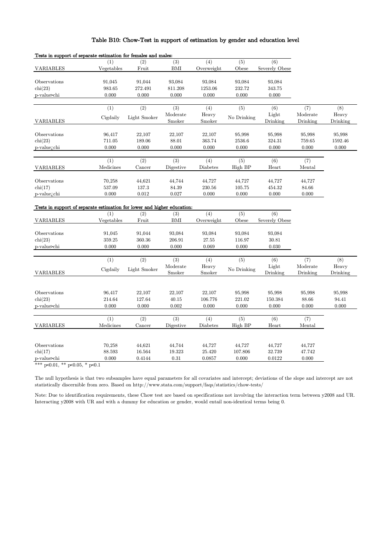## Table B10: Chow-Test in support of estimation by gender and education level

| Tests in support of separate estimation for females and males:          |                           |                            |                            |                            |                            |                                    |                             |                            |
|-------------------------------------------------------------------------|---------------------------|----------------------------|----------------------------|----------------------------|----------------------------|------------------------------------|-----------------------------|----------------------------|
| <b>VARIABLES</b>                                                        | (1)<br>Vegetables         | (2)<br>Fruit               | (3)<br>BMI                 | (4)<br>Overweight          | (5)<br>Obese               | (6)<br><b>Severely Obese</b>       |                             |                            |
| Observations<br>chi(23)<br>p-value>chi                                  | 91,045<br>983.65<br>0.000 | 91,044<br>272.491<br>0.000 | 93,084<br>811.208<br>0.000 | 93,084<br>1253.06<br>0.000 | 93,084<br>232.72<br>0.000  | 93,084<br>343.75<br>0.000          |                             |                            |
| <b>VARIABLES</b>                                                        | (1)<br>Cigdaily           | (2)<br>Light Smoker        | (3)<br>Moderate<br>Smoker  | (4)<br>Heavy<br>Smoker     | (5)<br>No Drinking         | (6)<br>Light<br>Drinking           | (7)<br>Moderate<br>Drinking | (8)<br>Heavy<br>Drinking   |
| Observations<br>$\operatorname{chi}(23)$<br>p-value <sub>i.</sub> chi   | 96,417<br>711.05<br>0.000 | 22,107<br>189.06<br>0.000  | 22,107<br>88.01<br>0.000   | 22,107<br>363.74<br>0.000  | 95,998<br>2536.6<br>0.000  | 95,998<br>324.31<br>0.000          | 95,998<br>759.65<br>0.000   | 95,998<br>1592.46<br>0.000 |
| <b>VARIABLES</b>                                                        | (1)<br>Medicines          | (2)<br>Cancer              | (3)<br>Digestive           | (4)<br>Diabetes            | (5)<br>High BP             | (6)<br>Heart                       | (7)<br>Mental               |                            |
| Observations<br>$\operatorname{chi}(17)$<br>p-value <sub>i.</sub> chi   | 70,258<br>537.09<br>0.000 | 44,621<br>137.3<br>0.012   | 44,744<br>84.39<br>0.027   | 44,727<br>230.56<br>0.000  | 44,727<br>105.75<br>0.000  | 44,727<br>454.32<br>0.000          | 44,727<br>84.66<br>0.000    |                            |
| Tests in support of separate estimation for lower and higher education: |                           |                            |                            |                            |                            |                                    |                             |                            |
| <b>VARIABLES</b>                                                        | (1)<br>Vegetables         | (2)<br>Fruit               | (3)<br><b>BMI</b>          | (4)<br>Overweight          | (5)<br>Obese               | $\overline{(6)}$<br>Severely Obese |                             |                            |
| Observations<br>$\operatorname{chi}(23)$<br>p-value>chi                 | 91,045<br>359.25<br>0.000 | 91,044<br>360.36<br>0.000  | 93,084<br>206.91<br>0.000  | 93,084<br>27.55<br>0.069   | 93,084<br>116.97<br>0.000  | 93,084<br>30.81<br>0.030           |                             |                            |
| <b>VARIABLES</b>                                                        | (1)<br>Cigdaily           | (2)<br>Light Smoker        | (3)<br>Moderate<br>Smoker  | (4)<br>Heavy<br>Smoker     | (5)<br>No Drinking         | (6)<br>Light<br>Drinking           | (7)<br>Moderate<br>Drinking | (8)<br>Heavy<br>Drinking   |
| Observations<br>$\operatorname{chi}(23)$<br>p-value>chi                 | 96,417<br>214.64<br>0.000 | 22,107<br>127.64<br>0.000  | 22,107<br>40.15<br>0.002   | 22,107<br>106.776<br>0.000 | 95,998<br>221.02<br>0.000  | 95,998<br>150.384<br>0.000         | 95,998<br>88.66<br>0.000    | 95,998<br>94.41<br>0.000   |
| <b>VARIABLES</b>                                                        | (1)<br>Medicines          | (2)<br>Cancer              | (3)<br>Digestive           | (4)<br>Diabetes            | (5)<br>High BP             | (6)<br>Heart                       | (7)<br>Mental               |                            |
| Observations<br>$\text{chi}(17)$<br>p-value>chi                         | 70,258<br>88.593<br>0.000 | 44,621<br>16.564<br>0.4144 | 44,744<br>19.323<br>0.31   | 44,727<br>25.420<br>0.0857 | 44,727<br>107.806<br>0.000 | 44,727<br>32.739<br>0.0122         | 44,727<br>47.742<br>0.000   |                            |

\*\*\* p<0.01, \*\* p<0.05, \* p<0.1

The null hypothesis is that two subsamples have equal parameters for all covariates and intercept; deviations of the slope and intercept are not statistically discernible from zero. Based on http://www.stata.com/support/faqs/statistics/chow-tests/

Note: Due to identification requirements, these Chow test are based on specifications not involving the interaction term between y2008 and UR. Interacting y2008 with UR and with a dummy for education or gender, would entail non-identical terms being 0.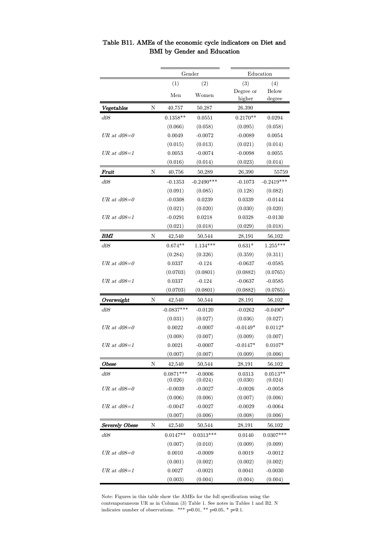|                       |   | Gender       |                        |            | Education    |  |  |  |
|-----------------------|---|--------------|------------------------|------------|--------------|--|--|--|
|                       |   | (1)          | (2)                    | (3)        | (4)          |  |  |  |
|                       |   | Men          | Women                  | Degree or  | Below        |  |  |  |
|                       |   |              |                        | higher     | degree       |  |  |  |
| Vegetables            | Ν | 40,757       | 50,287                 | 26,390     |              |  |  |  |
| d08                   |   | $0.1358**$   | 0.0551                 | $0.2170**$ | 0.0294       |  |  |  |
|                       |   | (0.066)      | (0.058)                | (0.095)    | (0.058)      |  |  |  |
| UR at $d08=0$         |   | 0.0049       | $-0.0072$              | $-0.0089$  | 0.0054       |  |  |  |
|                       |   | (0.015)      | (0.013)                | (0.021)    | (0.014)      |  |  |  |
| $UR$ at $d08=1$       |   | 0.0053       | $-0.0074$              | $-0.0098$  | 0.0055       |  |  |  |
|                       |   | (0.016)      | (0.014)                | (0.023)    | (0.014)      |  |  |  |
| Fruit                 | Ν | 40,756       | 50,289                 | 26,390     | 55759        |  |  |  |
| d08                   |   | $-0.1353$    | $-0.2490***$           | $-0.1073$  | $-0.2419***$ |  |  |  |
|                       |   | (0.091)      | (0.085)                | (0.128)    | (0.082)      |  |  |  |
| UR at $d08=0$         |   | $-0.0308$    | 0.0239                 | 0.0339     | $-0.0144$    |  |  |  |
|                       |   | (0.021)      | (0.020)                | (0.030)    | (0.020)      |  |  |  |
| $UR$ at $d08=1$       |   | $-0.0291$    | 0.0218                 | 0.0328     | $-0.0130$    |  |  |  |
|                       |   | (0.021)      | (0.018)                | (0.029)    | (0.018)      |  |  |  |
| BМI                   | N | 42,540       | 50,544                 | 28,191     | 56,102       |  |  |  |
| d08                   |   | $0.674**$    | $1.134***$             | $0.631*$   | $1.255***$   |  |  |  |
|                       |   | (0.284)      | (0.326)                | (0.359)    | (0.311)      |  |  |  |
| UR at $d08=0$         |   | 0.0337       | $-0.124$               | $-0.0637$  | $-0.0585$    |  |  |  |
|                       |   | (0.0703)     | (0.0801)               | (0.0882)   | (0.0765)     |  |  |  |
| $UR$ at $d08=1$       |   | 0.0337       | $-0.124$               | $-0.0637$  | $-0.0585$    |  |  |  |
|                       |   | (0.0703)     | $\left( 0.0801\right)$ | (0.0882)   | (0.0765)     |  |  |  |
| Overweight            | Ν | 42,540       | 50,544                 | 28,191     | 56,102       |  |  |  |
| <i>d08</i>            |   | $-0.0837***$ | $-0.0120$              | $-0.0262$  | $-0.0490*$   |  |  |  |
|                       |   | (0.031)      | (0.027)                | (0.036)    | (0.027)      |  |  |  |
| UR at $d08=0$         |   | 0.0022       | $-0.0007$              | $-0.0149*$ | $0.0112*$    |  |  |  |
|                       |   | (0.008)      | (0.007)                | (0.009)    | (0.007)      |  |  |  |
| $UR$ at $d08=1$       |   | 0.0021       | $-0.0007$              | $-0.0147*$ | $0.0107*$    |  |  |  |
|                       |   | (0.007)      | (0.007)                | (0.009)    | (0.006)      |  |  |  |
| Obese                 | Ν | 42,540       | 50,544                 | 28,191     | 56,102       |  |  |  |
| d08                   |   | $0.0871***$  | $-0.0006$              | 0.0313     | $0.0513**$   |  |  |  |
|                       |   | (0.026)      | (0.024)                | (0.030)    | (0.024)      |  |  |  |
| UR at $d08=0$         |   | $-0.0039$    | $-0.0027$              | $-0.0026$  | $-0.0058$    |  |  |  |
|                       |   | (0.006)      | (0.006)                | (0.007)    | (0.006)      |  |  |  |
| $UR$ at $d08=1$       |   | $-0.0047$    | $-0.0027$              | $-0.0029$  | $-0.0064$    |  |  |  |
|                       |   | (0.007)      | (0.006)                | (0.008)    | (0.006)      |  |  |  |
| <b>Severely Obese</b> | N | 42,540       | 50,544                 | 28,191     | 56,102       |  |  |  |
| d08                   |   | $0.0147**$   | $0.0313***$            | 0.0140     | $0.0307***$  |  |  |  |
|                       |   | (0.007)      | (0.010)                | (0.009)    | (0.009)      |  |  |  |
| UR at $d08=0$         |   | 0.0010       | $-0.0009$              | 0.0019     | $-0.0012$    |  |  |  |
|                       |   | (0.001)      | (0.002)                | (0.002)    | (0.002)      |  |  |  |
| $UR$ at $d08=1$       |   | 0.0027       | $-0.0021$              | 0.0041     | $-0.0030$    |  |  |  |
|                       |   | (0.003)      | (0.004)                | (0.004)    | (0.004)      |  |  |  |

Table B11. AMEs of the economic cycle indicators on Diet and BMI by Gender and Education

Note: Figures in this table show the AMEs for the full specification using the contemporaneous UR as in Column (3) Table 1. See notes in Tables 1 and B2. N indicates number of observations. \*\*\*  $p\leq 0.01$ , \*\*  $p\leq 0.05$ , \*  $p\leq 0.1$ .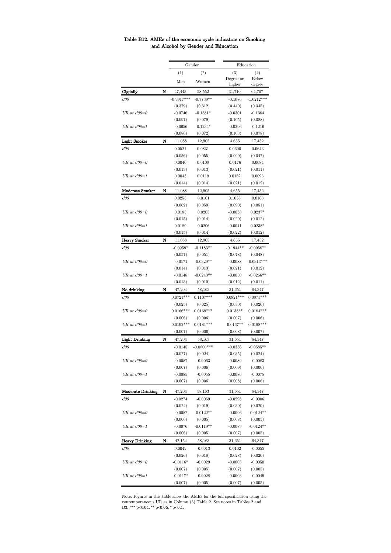| Table B12. AMEs of the economic cycle indicators on Smoking |  |  |
|-------------------------------------------------------------|--|--|
| and Alcohol by Gender and Education                         |  |  |

|                          |   | Gender                |                        |                      | Education              |  |  |  |
|--------------------------|---|-----------------------|------------------------|----------------------|------------------------|--|--|--|
|                          |   | (1)<br>(2)            |                        | (3)                  | (4)                    |  |  |  |
|                          |   | Men                   | Women                  | Degree or            | Below                  |  |  |  |
|                          |   |                       |                        | higher               | degree                 |  |  |  |
| Cigdaily                 | N | 47,443                | 58,552                 | 31,710               | 64,707                 |  |  |  |
| <i>d08</i>               |   | $-0.9917***$          | $-0.7739**$            | $-0.1086$            | $-1.0212***$           |  |  |  |
|                          |   | (0.379)               | (0.312)                | (0.440)              | (0.345)                |  |  |  |
| UR at $d08=0$            |   | $-0.0746$             | $-0.1381*$             | $-0.0301$            | $-0.1384$              |  |  |  |
|                          |   | (0.097)               | (0.079)                | (0.105)              | (0.088)                |  |  |  |
| $UR$ at $d08=1$          |   | $-0.0656$             | $-0.1234*$             | $-0.0296$            | $-0.1216$              |  |  |  |
|                          |   | (0.086)               | (0.072)                | (0.103)              | (0.078)                |  |  |  |
| <b>Light Smoker</b>      | N | 11,088                | 12,905                 | 4,655                | 17,452                 |  |  |  |
| d08                      |   | 0.0521                | 0.0831                 | 0.0600               | 0.0643                 |  |  |  |
|                          |   | (0.056)               | (0.055)                | (0.090)              | (0.047)                |  |  |  |
| UR at $d08=0$            |   | 0.0040                | 0.0108                 | 0.0176               | 0.0084                 |  |  |  |
|                          |   | (0.013)               | (0.013)                | (0.021)              | (0.011)                |  |  |  |
| $UR$ at $d08=1$          |   | 0.0043                | 0.0119                 | 0.0182               | 0.0093                 |  |  |  |
|                          |   | (0.014)               | (0.014)                | (0.021)              | (0.012)                |  |  |  |
| Moderate Smoker          | N | 11,088                | 12,905                 | 4,655                | 17,452                 |  |  |  |
| <i>d08</i>               |   | 0.0255                | 0.0101                 | 0.1038               | 0.0163                 |  |  |  |
|                          |   | (0.062)               | (0.059)                | (0.090)              | (0.051)                |  |  |  |
| UR at $d08=0$            |   | 0.0185                | 0.0205                 | $-0.0038$            | $0.0237*$              |  |  |  |
|                          |   | (0.015)               | (0.014)                | (0.020)              | (0.012)                |  |  |  |
| $UR$ at $d08=1$          |   | 0.0189                | 0.0206                 | $-0.0041$            | $0.0238*$              |  |  |  |
|                          |   | (0.015)               | (0.014)                | (0.022)              | (0.012)                |  |  |  |
| <b>Heavy Smoker</b>      | N | 11,088                | 12,905                 | 4,655                | 17,452                 |  |  |  |
| d08                      |   | $-0.0959*$            | $-0.1183**$            | $-0.1944**$          | $-0.0958**$            |  |  |  |
|                          |   | (0.057)               | (0.051)                | (0.078)              | (0.048)                |  |  |  |
| UR at $d08=0$            |   | $-0.0171$             | $-0.0329**$            | $-0.0088$            | $-0.0313***$           |  |  |  |
|                          |   | (0.014)               | (0.013)                | (0.021)              | (0.012)                |  |  |  |
| $UR$ at $d08=1$          |   | $-0.0148$             | $-0.0243**$            | $-0.0050$            | $-0.0266**$            |  |  |  |
|                          |   | (0.013)               | (0.010)                | (0.012)              | (0.011)                |  |  |  |
| No drinking              | N | 47,204                | 58,163                 | 31,651               | 64,347                 |  |  |  |
| d08                      |   | $0.0721***$           | $0.1107***$            | $0.0821***$          | $0.0871***$            |  |  |  |
|                          |   | (0.025)               | (0.025)                | (0.030)              | (0.026)                |  |  |  |
| UR at $d08=0$            |   | $0.0166***$           | $0.0169***$            | $0.0138**$           | $0.0184***$            |  |  |  |
|                          |   | (0.006)               | (0.006)                | (0.007)              | (0.006)                |  |  |  |
| UR at $d08=1$            |   | $0.0192***$           | $0.0181***$            | $0.0167**$           | $0.0198***$            |  |  |  |
|                          |   | (0.007)               | (0.006)                | (0.008)              | (0.007)                |  |  |  |
| Light Drinking           | N | 47,204                | 58,163                 | 31,651               | 64,347                 |  |  |  |
| d08                      |   | $-0.0145$             | $-0.0800$ ***          | $-0.0336$            | $-0.0585**$            |  |  |  |
|                          |   | (0.027)               | (0.024)                | (0.035)              | (0.024)                |  |  |  |
| $UR$ at $d08=0$          |   | $-0.0087$             | $-0.0063$              | $-0.0089$            | $-0.0083$              |  |  |  |
|                          |   | (0.007)               | (0.006)                | (0.009)              | (0.006)                |  |  |  |
| $UR$ at $d08=1$          |   | $-0.0085$             | $-0.0055$              | $-0.0086$            | $-0.0075$              |  |  |  |
|                          |   | (0.007)               | (0.006)                | (0.008)              | (0.006)                |  |  |  |
| <b>Moderate Drinking</b> | N | 47,204                | 58,163                 | 31,651               | 64,347                 |  |  |  |
|                          |   |                       |                        |                      |                        |  |  |  |
|                          |   |                       |                        |                      |                        |  |  |  |
| d08                      |   | $-0.0274$<br>(0.024)  | $-0.0069$<br>(0.019)   | $-0.0298$<br>(0.030) | $-0.0006$<br>(0.020)   |  |  |  |
| $UR$ at $d08=0$          |   | $-0.0082$             | $-0.0122**$            | $-0.0096$            | $-0.0124**$            |  |  |  |
|                          |   | (0.006)               |                        | (0.008)              |                        |  |  |  |
| $UR$ at $d08=1$          |   | $-0.0076$             | (0.005)<br>$-0.0119**$ | $-0.0089$            | (0.005)<br>$-0.0124**$ |  |  |  |
|                          |   | (0.006)               | (0.005)                | (0.007)              | (0.005)                |  |  |  |
|                          |   |                       |                        |                      |                        |  |  |  |
| <b>Heavy Drinking</b>    | N | 42,154                | 58,163                 | 31,651               | 64,347                 |  |  |  |
| d08                      |   | 0.0049                | $-0.0013$              | 0.0102               | $-0.0055$              |  |  |  |
|                          |   | (0.026)               | (0.018)                | (0.028)              | (0.020)                |  |  |  |
| UR at $d08=0$            |   | $-0.0116*$            | $-0.0029$              | $-0.0003$            | $-0.0050$              |  |  |  |
| $UR$ at $d08=1$          |   | (0.007)<br>$-0.0117*$ | (0.005)<br>$-0.0028$   | (0.007)<br>$-0.0003$ | (0.005)<br>$-0.0049$   |  |  |  |

Note: Figures in this table show the AMEs for the full specification using the contemporaneous UR as in Column (3) Table 2. See notes in Tables 2 and B3. \*\*\* p<0.01, \*\* p<0.05, \* p<0.1.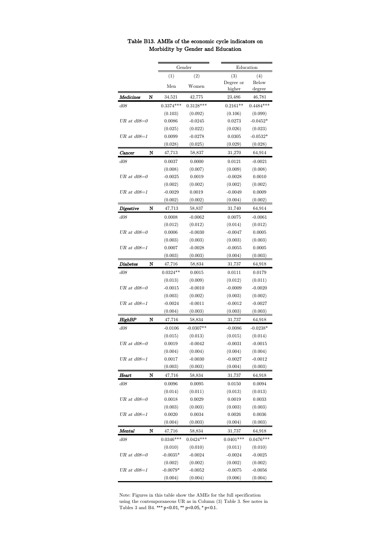|                 |   |             | Gender      |             | Education   |  |  |  |
|-----------------|---|-------------|-------------|-------------|-------------|--|--|--|
|                 |   | (1)         | (2)         | (3)         | (4)         |  |  |  |
|                 |   | Men         | Women       | Degree or   | Below       |  |  |  |
|                 |   |             |             | higher      | degree      |  |  |  |
| Medicines       | N | 34,521      | 42,775      | 23,486      | 46,781      |  |  |  |
| d08             |   | $0.3374***$ | $0.3128***$ | $0.2161**$  | $0.4484***$ |  |  |  |
|                 |   | (0.103)     | (0.092)     | (0.106)     | (0.099)     |  |  |  |
| $UR$ at $d08=0$ |   | 0.0086      | $-0.0245$   | 0.0273      | $-0.0452*$  |  |  |  |
|                 |   | (0.025)     | (0.022)     | (0.026)     | (0.023)     |  |  |  |
| $UR$ at $d08=1$ |   | 0.0099      | $-0.0278$   | 0.0305      | $-0.0532*$  |  |  |  |
|                 |   | (0.028)     | (0.025)     | (0.029)     | (0.028)     |  |  |  |
| Cancer          | N | 47,713      | 58,837      | 31,270      | 64,914      |  |  |  |
| d08             |   | 0.0037      | 0.0000      | 0.0121      | $-0.0021$   |  |  |  |
|                 |   | (0.008)     | (0.007)     | (0.009)     | (0.008)     |  |  |  |
| $UR$ at $d08=0$ |   | $-0.0025$   | 0.0019      | $-0.0028$   | 0.0010      |  |  |  |
|                 |   | (0.002)     | (0.002)     | (0.002)     | (0.002)     |  |  |  |
| $UR$ at $d08=1$ |   | $-0.0029$   | 0.0019      | $-0.0049$   | 0.0009      |  |  |  |
|                 |   | (0.002)     | (0.002)     | (0.004)     | (0.002)     |  |  |  |
| Digestive       | N | 47,713      | 58,837      | 31,740      | 64,914      |  |  |  |
| d08             |   | 0.0008      | $-0.0062$   | 0.0075      | $-0.0061$   |  |  |  |
|                 |   | (0.012)     | (0.012)     | (0.014)     | (0.012)     |  |  |  |
| $UR$ at $d08=0$ |   | 0.0006      | $-0.0030$   | -0.0047     | 0.0005      |  |  |  |
|                 |   | (0.003)     | (0.003)     | (0.003)     | (0.003)     |  |  |  |
| $UR$ at $d08=1$ |   | 0.0007      | $-0.0028$   | $-0.0055$   | 0.0005      |  |  |  |
|                 |   | (0.003)     | (0.003)     | (0.004)     | (0.003)     |  |  |  |
| Diabetes        | N | 47,716      | 58,834      | 31,737      | 64,918      |  |  |  |
| d08             |   | $0.0324**$  | 0.0015      | 0.0111      | 0.0179      |  |  |  |
|                 |   | (0.013)     | (0.009)     | (0.012)     | (0.011)     |  |  |  |
| $UR$ at $d08=0$ |   | $-0.0015$   | $-0.0010$   | $-0.0009$   | $-0.0020$   |  |  |  |
|                 |   | (0.003)     | (0.002)     | (0.003)     | (0.002)     |  |  |  |
| $UR$ at $d08=1$ |   | $-0.0024$   | $-0.0011$   | $-0.0012$   | $-0.0027$   |  |  |  |
|                 |   | (0.004)     | (0.003)     | (0.003)     | (0.003)     |  |  |  |
| HighBP          | N | 47,716      | 58,834      | 31,737      | 64,918      |  |  |  |
| d08             |   | $-0.0106$   | $-0.0307**$ | $-0.0086$   | $-0.0238*$  |  |  |  |
|                 |   | (0.015)     | (0.013)     | (0.015)     | (0.014)     |  |  |  |
| UR at $d08=0$   |   | 0.0019      | $-0.0042$   | $-0.0031$   | $-0.0015$   |  |  |  |
|                 |   | (0.004)     | (0.004)     | (0.004)     | (0.004)     |  |  |  |
| $UR$ at $d08=1$ |   | 0.0017      | $-0.0030$   | $-0.0027$   | $-0.0012$   |  |  |  |
|                 |   | (0.003)     | (0.003)     | (0.004)     | (0.003)     |  |  |  |
| Heart           | N | 47,716      | 58,834      | 31,737      | 64,918      |  |  |  |
| d08             |   | 0.0096      | 0.0095      | 0.0150      | 0.0094      |  |  |  |
|                 |   | (0.014)     | (0.011)     | (0.013)     | (0.013)     |  |  |  |
| $UR$ at $d08=0$ |   | 0.0018      | 0.0029      | 0.0019      | 0.0033      |  |  |  |
|                 |   | (0.003)     | (0.003)     | (0.003)     | (0.003)     |  |  |  |
| $UR$ at $d08=1$ |   | 0.0020      | 0.0034      | 0.0026      | 0.0036      |  |  |  |
|                 |   | (0.004)     | (0.003)     | (0.004)     | (0.003)     |  |  |  |
| Mental          | N | 47,716      | 58,834      | 31,737      | 64,918      |  |  |  |
| d08             |   | $0.0346***$ | $0.0424***$ | $0.0401***$ | $0.0476***$ |  |  |  |
|                 |   | (0.010)     | (0.010)     | (0.011)     | (0.010)     |  |  |  |
| $UR$ at $d08=0$ |   | $-0.0035*$  | $-0.0024$   | $-0.0024$   | $-0.0025$   |  |  |  |
|                 |   | (0.002)     | (0.002)     | (0.002)     | (0.002)     |  |  |  |
| $UR$ at $d08=1$ |   | $-0.0079*$  | $-0.0052$   | $-0.0075$   | $-0.0056$   |  |  |  |
|                 |   | (0.004)     | (0.004)     | (0.006)     | (0.004)     |  |  |  |

## Table B13. AMEs of the economic cycle indicators on Morbidity by Gender and Education

Note: Figures in this table show the AMEs for the full specification using the contemporaneous UR as in Column (3) Table 3. See notes in Tables 3 and B4. \*\*\*  $p<0.01$ , \*\*  $p<0.05$ , \*  $p<0.1$ .